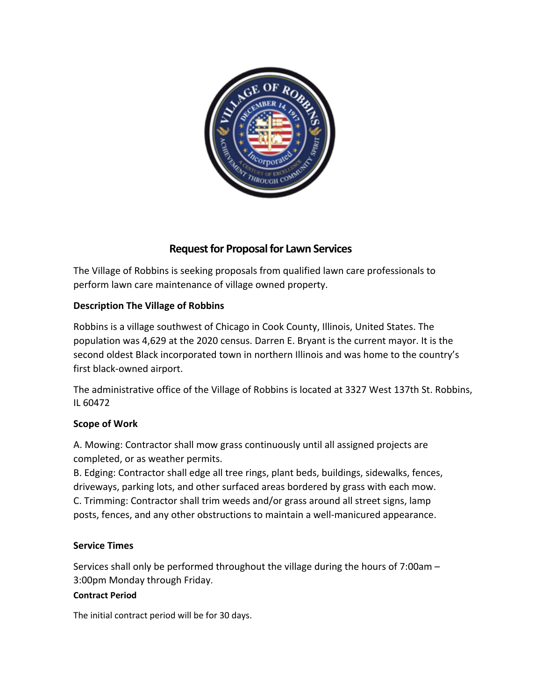

# **Request for Proposal for Lawn Services**

The Village of Robbins is seeking proposals from qualified lawn care professionals to perform lawn care maintenance of village owned property.

## **Description The Village of Robbins**

Robbins is a village southwest of Chicago in Cook County, Illinois, United States. The population was 4,629 at the 2020 census. Darren E. Bryant is the current mayor. It is the second oldest Black incorporated town in northern Illinois and was home to the country's first black-owned airport.

The administrative office of the Village of Robbins is located at 3327 West 137th St. Robbins, IL 60472

## **Scope of Work**

A. Mowing: Contractor shall mow grass continuously until all assigned projects are completed, or as weather permits.

B. Edging: Contractor shall edge all tree rings, plant beds, buildings, sidewalks, fences, driveways, parking lots, and other surfaced areas bordered by grass with each mow. C. Trimming: Contractor shall trim weeds and/or grass around all street signs, lamp posts, fences, and any other obstructions to maintain a well-manicured appearance.

## **Service Times**

Services shall only be performed throughout the village during the hours of 7:00am – 3:00pm Monday through Friday.

### **Contract Period**

The initial contract period will be for 30 days.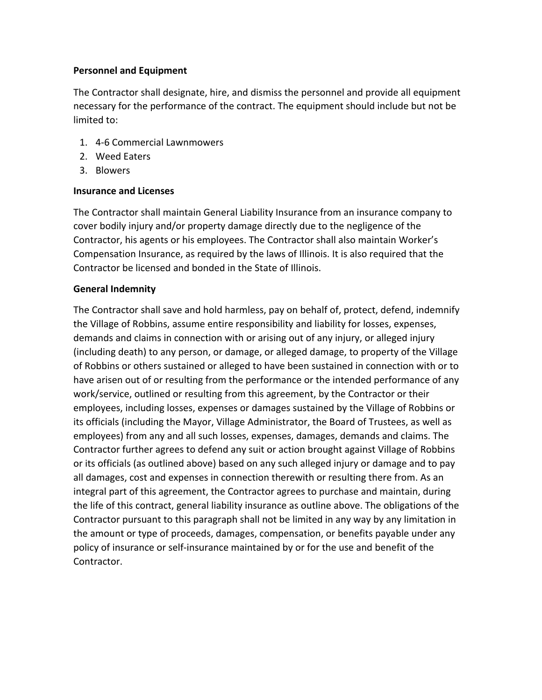### **Personnel and Equipment**

The Contractor shall designate, hire, and dismiss the personnel and provide all equipment necessary for the performance of the contract. The equipment should include but not be limited to:

- 1. 4-6 Commercial Lawnmowers
- 2. Weed Eaters
- 3. Blowers

### **Insurance and Licenses**

The Contractor shall maintain General Liability Insurance from an insurance company to cover bodily injury and/or property damage directly due to the negligence of the Contractor, his agents or his employees. The Contractor shall also maintain Worker's Compensation Insurance, as required by the laws of Illinois. It is also required that the Contractor be licensed and bonded in the State of Illinois.

### **General Indemnity**

The Contractor shall save and hold harmless, pay on behalf of, protect, defend, indemnify the Village of Robbins, assume entire responsibility and liability for losses, expenses, demands and claims in connection with or arising out of any injury, or alleged injury (including death) to any person, or damage, or alleged damage, to property of the Village of Robbins or others sustained or alleged to have been sustained in connection with or to have arisen out of or resulting from the performance or the intended performance of any work/service, outlined or resulting from this agreement, by the Contractor or their employees, including losses, expenses or damages sustained by the Village of Robbins or its officials (including the Mayor, Village Administrator, the Board of Trustees, as well as employees) from any and all such losses, expenses, damages, demands and claims. The Contractor further agrees to defend any suit or action brought against Village of Robbins or its officials (as outlined above) based on any such alleged injury or damage and to pay all damages, cost and expenses in connection therewith or resulting there from. As an integral part of this agreement, the Contractor agrees to purchase and maintain, during the life of this contract, general liability insurance as outline above. The obligations of the Contractor pursuant to this paragraph shall not be limited in any way by any limitation in the amount or type of proceeds, damages, compensation, or benefits payable under any policy of insurance or self-insurance maintained by or for the use and benefit of the Contractor.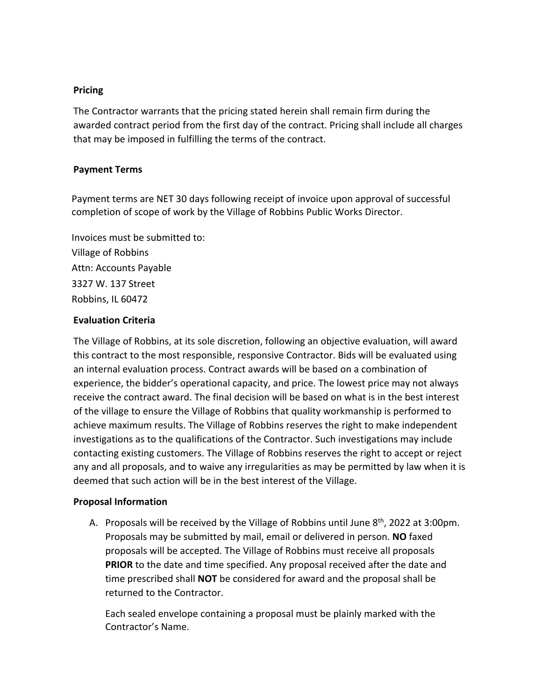### **Pricing**

The Contractor warrants that the pricing stated herein shall remain firm during the awarded contract period from the first day of the contract. Pricing shall include all charges that may be imposed in fulfilling the terms of the contract.

### **Payment Terms**

Payment terms are NET 30 days following receipt of invoice upon approval of successful completion of scope of work by the Village of Robbins Public Works Director.

Invoices must be submitted to: Village of Robbins Attn: Accounts Payable 3327 W. 137 Street Robbins, IL 60472

### **Evaluation Criteria**

The Village of Robbins, at its sole discretion, following an objective evaluation, will award this contract to the most responsible, responsive Contractor. Bids will be evaluated using an internal evaluation process. Contract awards will be based on a combination of experience, the bidder's operational capacity, and price. The lowest price may not always receive the contract award. The final decision will be based on what is in the best interest of the village to ensure the Village of Robbins that quality workmanship is performed to achieve maximum results. The Village of Robbins reserves the right to make independent investigations as to the qualifications of the Contractor. Such investigations may include contacting existing customers. The Village of Robbins reserves the right to accept or reject any and all proposals, and to waive any irregularities as may be permitted by law when it is deemed that such action will be in the best interest of the Village.

#### **Proposal Information**

A. Proposals will be received by the Village of Robbins until June  $8<sup>th</sup>$ , 2022 at 3:00pm. Proposals may be submitted by mail, email or delivered in person. **NO** faxed proposals will be accepted. The Village of Robbins must receive all proposals **PRIOR** to the date and time specified. Any proposal received after the date and time prescribed shall **NOT** be considered for award and the proposal shall be returned to the Contractor.

Each sealed envelope containing a proposal must be plainly marked with the Contractor's Name.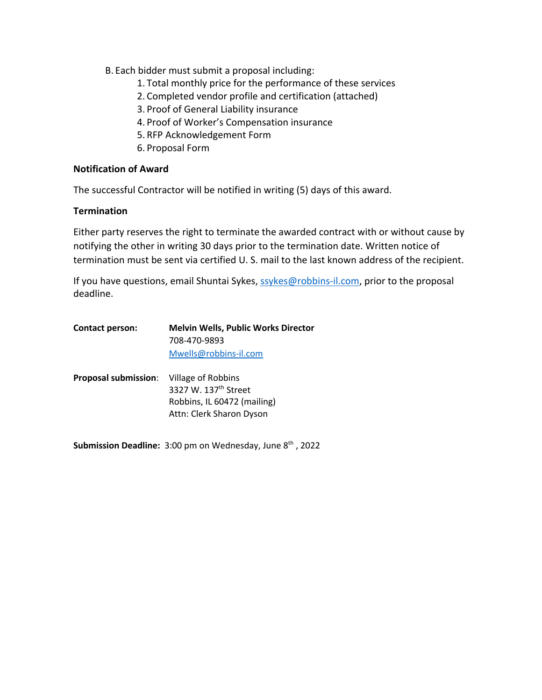- B. Each bidder must submit a proposal including:
	- 1. Total monthly price for the performance of these services
	- 2. Completed vendor profile and certification (attached)
	- 3. Proof of General Liability insurance
	- 4. Proof of Worker's Compensation insurance
	- 5. RFP Acknowledgement Form
	- 6. Proposal Form

#### **Notification of Award**

The successful Contractor will be notified in writing (5) days of this award.

#### **Termination**

Either party reserves the right to terminate the awarded contract with or without cause by notifying the other in writing 30 days prior to the termination date. Written notice of termination must be sent via certified U. S. mail to the last known address of the recipient.

If you have questions, email Shuntai Sykes, ssykes@robbins-il.com, prior to the proposal deadline.

| <b>Contact person:</b>                         | <b>Melvin Wells, Public Works Director</b> |  |
|------------------------------------------------|--------------------------------------------|--|
|                                                | 708-470-9893                               |  |
|                                                | Mwells@robbins-il.com                      |  |
| <b>Proposal submission:</b> Village of Robbins |                                            |  |
|                                                | 3327 W. 137 <sup>th</sup> Street           |  |
|                                                | Robbins, IL 60472 (mailing)                |  |

**Submission Deadline:** 3:00 pm on Wednesday, June 8<sup>th</sup>, 2022

Attn: Clerk Sharon Dyson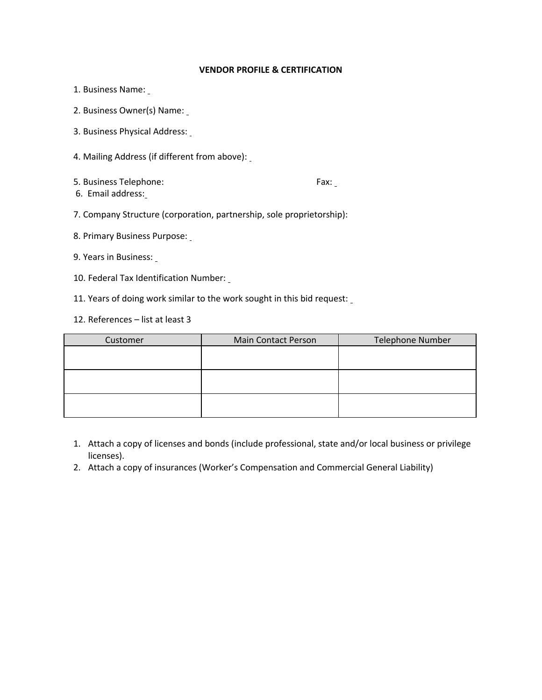#### **VENDOR PROFILE & CERTIFICATION**

- 1. Business Name:
- 2. Business Owner(s) Name:
- 3. Business Physical Address:
- 4. Mailing Address (if different from above):
- 5. Business Telephone: Fax:

- 6. Email address:
- 7. Company Structure (corporation, partnership, sole proprietorship):
- 8. Primary Business Purpose:
- 9. Years in Business:
- 10. Federal Tax Identification Number:
- 11. Years of doing work similar to the work sought in this bid request:
- 12. References list at least 3

| Customer | <b>Main Contact Person</b> | <b>Telephone Number</b> |
|----------|----------------------------|-------------------------|
|          |                            |                         |
|          |                            |                         |
|          |                            |                         |
|          |                            |                         |
|          |                            |                         |
|          |                            |                         |

- 1. Attach a copy of licenses and bonds (include professional, state and/or local business or privilege licenses).
- 2. Attach a copy of insurances (Worker's Compensation and Commercial General Liability)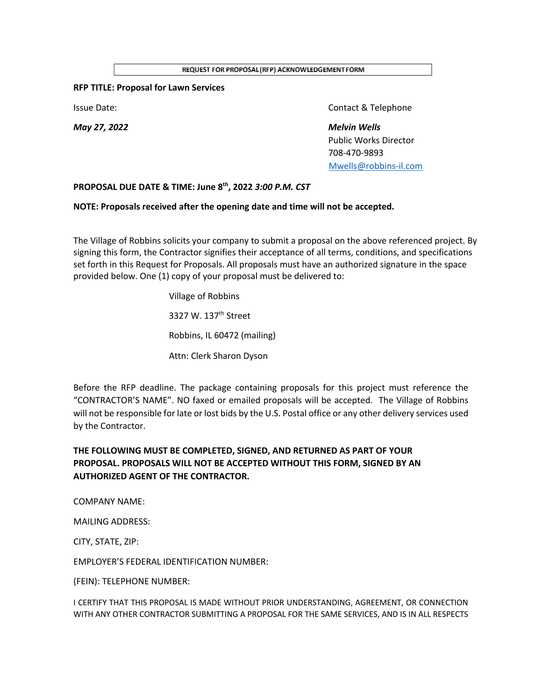REQUEST FOR PROPOSAL (RFP) ACKNOWLEDGEMENT FORM

#### **RFP TITLE: Proposal for Lawn Services**

*May 27, 2022 Melvin Wells*

**Issue Date:** Contact & Telephone

Public Works Director 708-470-9893 Mwells@robbins-il.com

#### **PROPOSAL DUE DATE & TIME: June 8th, 2022** *3:00 P.M. CST*

#### **NOTE: Proposals received after the opening date and time will not be accepted.**

The Village of Robbins solicits your company to submit a proposal on the above referenced project. By signing this form, the Contractor signifies their acceptance of all terms, conditions, and specifications set forth in this Request for Proposals. All proposals must have an authorized signature in the space provided below. One (1) copy of your proposal must be delivered to:

> Village of Robbins 3327 W. 137th Street Robbins, IL 60472 (mailing) Attn: Clerk Sharon Dyson

Before the RFP deadline. The package containing proposals for this project must reference the "CONTRACTOR'S NAME". NO faxed or emailed proposals will be accepted. The Village of Robbins will not be responsible for late or lost bids by the U.S. Postal office or any other delivery services used by the Contractor.

### **THE FOLLOWING MUST BE COMPLETED, SIGNED, AND RETURNED AS PART OF YOUR PROPOSAL. PROPOSALS WILL NOT BE ACCEPTED WITHOUT THIS FORM, SIGNED BY AN AUTHORIZED AGENT OF THE CONTRACTOR.**

COMPANY NAME:

MAILING ADDRESS:

CITY, STATE, ZIP:

EMPLOYER'S FEDERAL IDENTIFICATION NUMBER:

(FEIN): TELEPHONE NUMBER:

I CERTIFY THAT THIS PROPOSAL IS MADE WITHOUT PRIOR UNDERSTANDING, AGREEMENT, OR CONNECTION WITH ANY OTHER CONTRACTOR SUBMITTING A PROPOSAL FOR THE SAME SERVICES, AND IS IN ALL RESPECTS